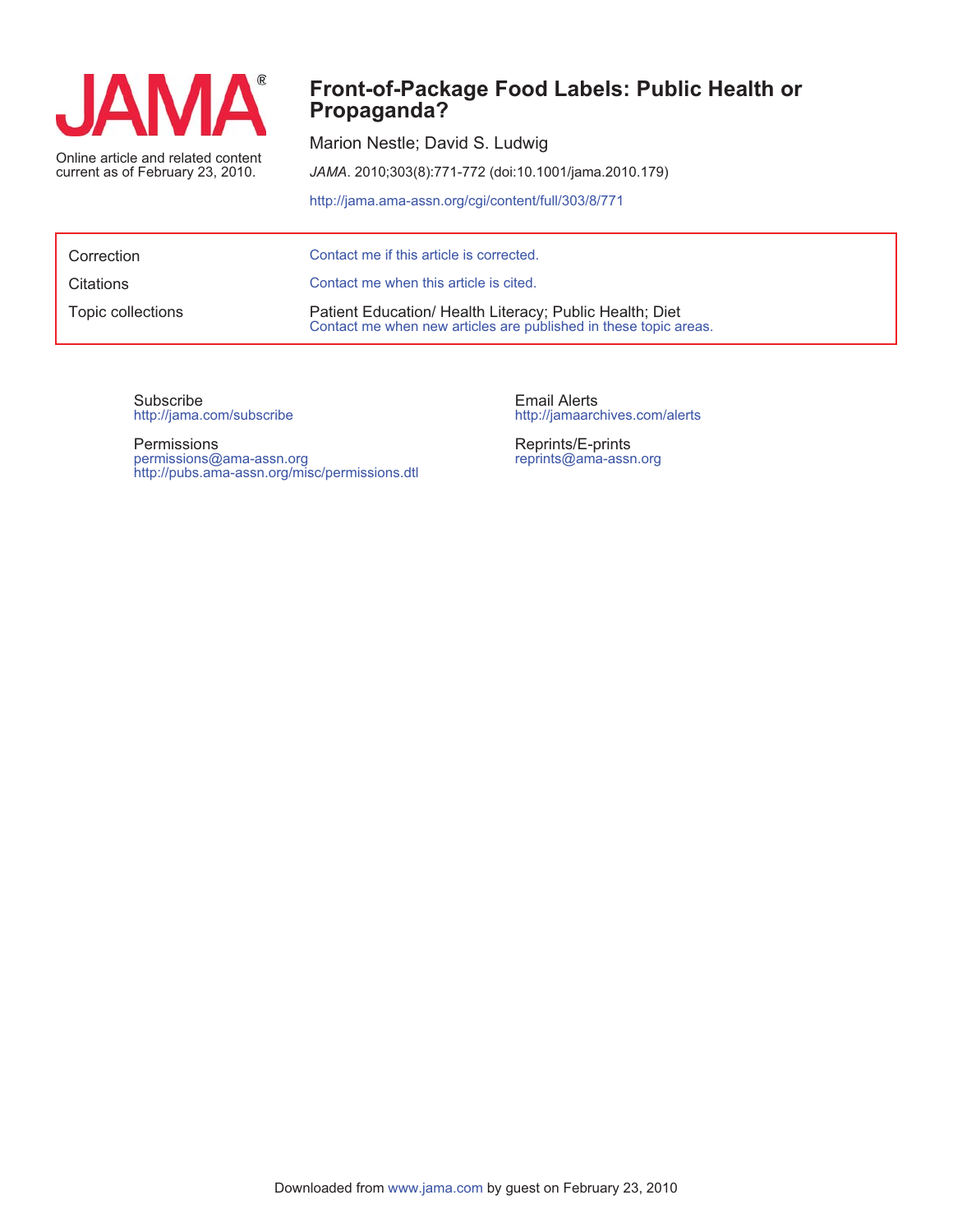

current as of February 23, 2010.

## **Propaganda? Front-of-Package Food Labels: Public Health or**

Marion Nestle; David S. Ludwig

*JAMA*. 2010;303(8):771-772 (doi:10.1001/jama.2010.179)

http://jama.ama-assn.org/cgi/content/full/303/8/771

| Correction        | Contact me if this article is corrected.                                                                                    |
|-------------------|-----------------------------------------------------------------------------------------------------------------------------|
| Citations         | Contact me when this article is cited.                                                                                      |
| Topic collections | Patient Education/ Health Literacy; Public Health; Diet<br>Contact me when new articles are published in these topic areas. |

http://jama.com/subscribe Subscribe

http://pubs.ama-assn.org/misc/permissions.dtl permissions@ama-assn.org Permissions

http://jamaarchives.com/alerts Email Alerts

reprints@ama-assn.org Reprints/E-prints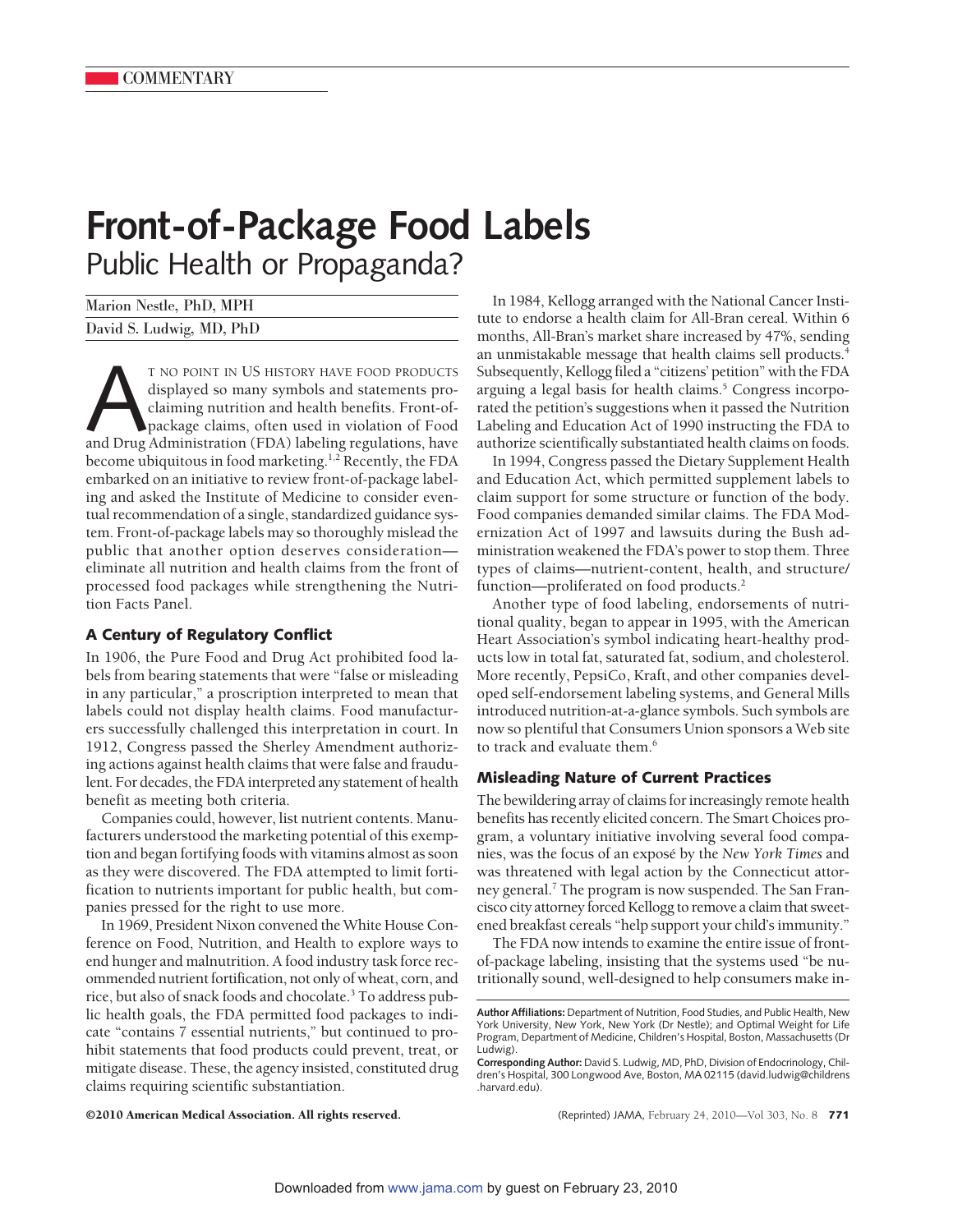# **Front-of-Package Food Labels** Public Health or Propaganda?

| Marion Nestle, PhD, MPH  |  |
|--------------------------|--|
| David S. Ludwig, MD, PhD |  |

T NO POINT IN US HISTORY HAVE FOOD PRODUCTS<br>displayed so many symbols and statements pro-<br>claiming nutrition and health benefits. Front-of-<br>package claims, often used in violation of Food<br>and Drug Administration (FDA) labe displayed so many symbols and statements proclaiming nutrition and health benefits. Front-ofpackage claims, often used in violation of Food become ubiquitous in food marketing.<sup>1,2</sup> Recently, the FDA embarked on an initiative to review front-of-package labeling and asked the Institute of Medicine to consider eventual recommendation of a single, standardized guidance system. Front-of-package labels may so thoroughly mislead the public that another option deserves consideration eliminate all nutrition and health claims from the front of processed food packages while strengthening the Nutrition Facts Panel.

### **A Century of Regulatory Conflict**

In 1906, the Pure Food and Drug Act prohibited food labels from bearing statements that were "false or misleading in any particular," a proscription interpreted to mean that labels could not display health claims. Food manufacturers successfully challenged this interpretation in court. In 1912, Congress passed the Sherley Amendment authorizing actions against health claims that were false and fraudulent. For decades, the FDA interpreted any statement of health benefit as meeting both criteria.

Companies could, however, list nutrient contents. Manufacturers understood the marketing potential of this exemption and began fortifying foods with vitamins almost as soon as they were discovered. The FDA attempted to limit fortification to nutrients important for public health, but companies pressed for the right to use more.

In 1969, President Nixon convened the White House Conference on Food, Nutrition, and Health to explore ways to end hunger and malnutrition. A food industry task force recommended nutrient fortification, not only of wheat, corn, and rice, but also of snack foods and chocolate.3 To address public health goals, the FDA permitted food packages to indicate "contains 7 essential nutrients," but continued to prohibit statements that food products could prevent, treat, or mitigate disease. These, the agency insisted, constituted drug claims requiring scientific substantiation.

In 1984, Kellogg arranged with the National Cancer Institute to endorse a health claim for All-Bran cereal. Within 6 months, All-Bran's market share increased by 47%, sending an unmistakable message that health claims sell products.<sup>4</sup> Subsequently, Kellogg filed a "citizens' petition" with the FDA arguing a legal basis for health claims.<sup>5</sup> Congress incorporated the petition's suggestions when it passed the Nutrition Labeling and Education Act of 1990 instructing the FDA to authorize scientifically substantiated health claims on foods.

In 1994, Congress passed the Dietary Supplement Health and Education Act, which permitted supplement labels to claim support for some structure or function of the body. Food companies demanded similar claims. The FDA Modernization Act of 1997 and lawsuits during the Bush administration weakened the FDA's power to stop them. Three types of claims—nutrient-content, health, and structure/ function—proliferated on food products.<sup>2</sup>

Another type of food labeling, endorsements of nutritional quality, began to appear in 1995, with the American Heart Association's symbol indicating heart-healthy products low in total fat, saturated fat, sodium, and cholesterol. More recently, PepsiCo, Kraft, and other companies developed self-endorsement labeling systems, and General Mills introduced nutrition-at-a-glance symbols. Such symbols are now so plentiful that Consumers Union sponsors a Web site to track and evaluate them.<sup>6</sup>

#### **Misleading Nature of Current Practices**

The bewildering array of claims for increasingly remote health benefits has recently elicited concern. The Smart Choices program, a voluntary initiative involving several food companies, was the focus of an expose´ by the *New York Times* and was threatened with legal action by the Connecticut attorney general.<sup>7</sup> The program is now suspended. The San Francisco city attorney forced Kellogg to remove a claim that sweetened breakfast cereals "help support your child's immunity."

The FDA now intends to examine the entire issue of frontof-package labeling, insisting that the systems used "be nutritionally sound, well-designed to help consumers make in-

©2010 American Medical Association. All rights reserved. (Reprinted) JAMA, February 24, 2010—Vol 303, No. 8 **771**

**Author Affiliations:** Department of Nutrition, Food Studies, and Public Health, New York University, New York, New York (Dr Nestle); and Optimal Weight for Life Program, Department of Medicine, Children's Hospital, Boston, Massachusetts (Dr Ludwig).

**Corresponding Author:** David S. Ludwig, MD, PhD, Division of Endocrinology, Children's Hospital, 300 Longwood Ave, Boston, MA 02115 (david.ludwig@childrens .harvard.edu).